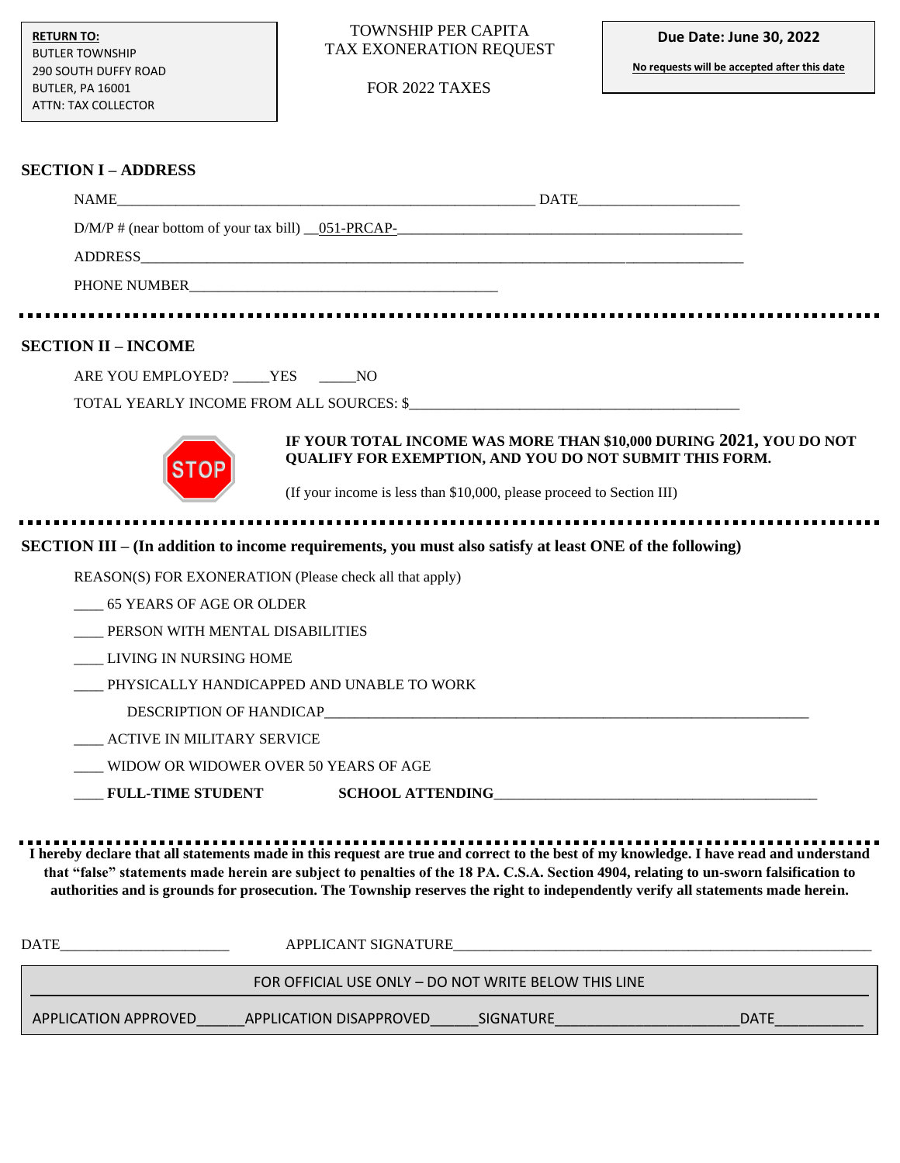#### TOWNSHIP PER CAPITA TAX EXONERATION REQUEST

FOR 2022 TAXES

**No requests will be accepted after this date**

### **SECTION I – ADDRESS**

|                                                         | NAME DATE DATE                                                                                                                                                                                                                                                                                                                                                                                                     |
|---------------------------------------------------------|--------------------------------------------------------------------------------------------------------------------------------------------------------------------------------------------------------------------------------------------------------------------------------------------------------------------------------------------------------------------------------------------------------------------|
|                                                         | $D/M/P$ # (near bottom of your tax bill) $0.051$ -PRCAP-                                                                                                                                                                                                                                                                                                                                                           |
|                                                         |                                                                                                                                                                                                                                                                                                                                                                                                                    |
|                                                         |                                                                                                                                                                                                                                                                                                                                                                                                                    |
|                                                         |                                                                                                                                                                                                                                                                                                                                                                                                                    |
| <b>SECTION II - INCOME</b>                              |                                                                                                                                                                                                                                                                                                                                                                                                                    |
| ARE YOU EMPLOYED? _____ YES ______ NO                   |                                                                                                                                                                                                                                                                                                                                                                                                                    |
|                                                         | TOTAL YEARLY INCOME FROM ALL SOURCES: \$                                                                                                                                                                                                                                                                                                                                                                           |
|                                                         | IF YOUR TOTAL INCOME WAS MORE THAN \$10,000 DURING 2021, YOU DO NOT<br>QUALIFY FOR EXEMPTION, AND YOU DO NOT SUBMIT THIS FORM.<br>(If your income is less than \$10,000, please proceed to Section III)                                                                                                                                                                                                            |
|                                                         |                                                                                                                                                                                                                                                                                                                                                                                                                    |
|                                                         | SECTION III – (In addition to income requirements, you must also satisfy at least ONE of the following)                                                                                                                                                                                                                                                                                                            |
| REASON(S) FOR EXONERATION (Please check all that apply) |                                                                                                                                                                                                                                                                                                                                                                                                                    |
| 65 YEARS OF AGE OR OLDER                                |                                                                                                                                                                                                                                                                                                                                                                                                                    |
| PERSON WITH MENTAL DISABILITIES                         |                                                                                                                                                                                                                                                                                                                                                                                                                    |
| LIVING IN NURSING HOME                                  |                                                                                                                                                                                                                                                                                                                                                                                                                    |
| PHYSICALLY HANDICAPPED AND UNABLE TO WORK               |                                                                                                                                                                                                                                                                                                                                                                                                                    |
|                                                         |                                                                                                                                                                                                                                                                                                                                                                                                                    |
| __ ACTIVE IN MILITARY SERVICE                           |                                                                                                                                                                                                                                                                                                                                                                                                                    |
| WIDOW OR WIDOWER OVER 50 YEARS OF AGE                   |                                                                                                                                                                                                                                                                                                                                                                                                                    |
| <b>FULL-TIME STUDENT</b>                                |                                                                                                                                                                                                                                                                                                                                                                                                                    |
|                                                         | I hereby declare that all statements made in this request are true and correct to the best of my knowledge. I have read and understand<br>that "false" statements made herein are subject to penalties of the 18 PA. C.S.A. Section 4904, relating to un-sworn falsification to<br>authorities and is grounds for prosecution. The Township reserves the right to independently verify all statements made herein. |

| <b>DATE</b>          | APPLICANT SIGNATURE                                  |                  |             |
|----------------------|------------------------------------------------------|------------------|-------------|
|                      | FOR OFFICIAL USE ONLY - DO NOT WRITE BELOW THIS LINE |                  |             |
| APPLICATION APPROVED | APPLICATION DISAPPROVED                              | <b>SIGNATURE</b> | <b>DATE</b> |